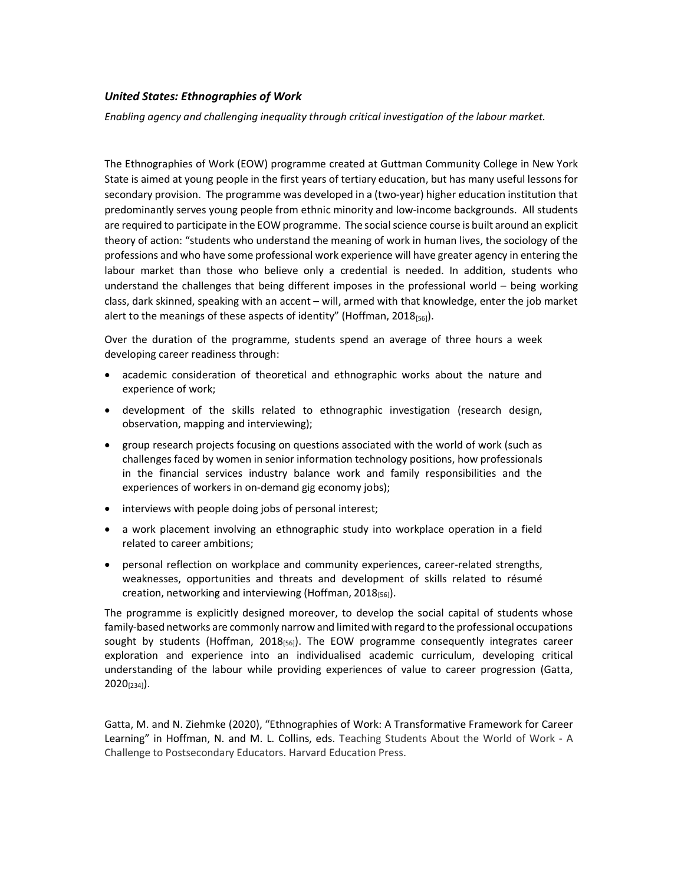## United States: Ethnographies of Work

Enabling agency and challenging inequality through critical investigation of the labour market.

The Ethnographies of Work (EOW) programme created at Guttman Community College in New York State is aimed at young people in the first years of tertiary education, but has many useful lessons for secondary provision. The programme was developed in a (two-year) higher education institution that predominantly serves young people from ethnic minority and low-income backgrounds. All students are required to participate in the EOW programme. The social science course is built around an explicit theory of action: "students who understand the meaning of work in human lives, the sociology of the professions and who have some professional work experience will have greater agency in entering the labour market than those who believe only a credential is needed. In addition, students who understand the challenges that being different imposes in the professional world – being working class, dark skinned, speaking with an accent – will, armed with that knowledge, enter the job market alert to the meanings of these aspects of identity" (Hoffman, 2018 $_{[56]}$ ).

Over the duration of the programme, students spend an average of three hours a week developing career readiness through:

- academic consideration of theoretical and ethnographic works about the nature and experience of work;
- development of the skills related to ethnographic investigation (research design, observation, mapping and interviewing);
- group research projects focusing on questions associated with the world of work (such as challenges faced by women in senior information technology positions, how professionals in the financial services industry balance work and family responsibilities and the experiences of workers in on-demand gig economy jobs);
- interviews with people doing jobs of personal interest;
- a work placement involving an ethnographic study into workplace operation in a field related to career ambitions;
- personal reflection on workplace and community experiences, career-related strengths, weaknesses, opportunities and threats and development of skills related to résumé creation, networking and interviewing (Hoffman, 2018<sub>[56]</sub>).

The programme is explicitly designed moreover, to develop the social capital of students whose family-based networks are commonly narrow and limited with regard to the professional occupations sought by students (Hoffman, 2018 $_{[56]}$ ). The EOW programme consequently integrates career exploration and experience into an individualised academic curriculum, developing critical understanding of the labour while providing experiences of value to career progression (Gatta,  $2020_{[234]}$ .

Gatta, M. and N. Ziehmke (2020), "Ethnographies of Work: A Transformative Framework for Career Learning" in Hoffman, N. and M. L. Collins, eds. Teaching Students About the World of Work - A Challenge to Postsecondary Educators. Harvard Education Press.